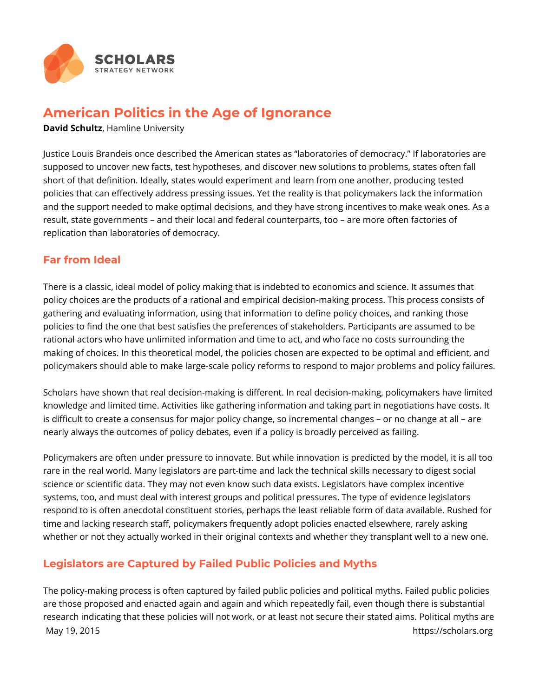

## **American Politics in the Age of Ignorance**

**David Schultz**, Hamline University

Justice Louis Brandeis once described the American states as "laboratories of democracy." If laboratories are supposed to uncover new facts, test hypotheses, and discover new solutions to problems, states often fall short of that definition. Ideally, states would experiment and learn from one another, producing tested policies that can effectively address pressing issues. Yet the reality is that policymakers lack the information and the support needed to make optimal decisions, and they have strong incentives to make weak ones. As a result, state governments – and their local and federal counterparts, too – are more often factories of replication than laboratories of democracy.

## **Far from Ideal**

There is a classic, ideal model of policy making that is indebted to economics and science. It assumes that policy choices are the products of a rational and empirical decision-making process. This process consists of gathering and evaluating information, using that information to define policy choices, and ranking those policies to find the one that best satisfies the preferences of stakeholders. Participants are assumed to be rational actors who have unlimited information and time to act, and who face no costs surrounding the making of choices. In this theoretical model, the policies chosen are expected to be optimal and efficient, and policymakers should able to make large-scale policy reforms to respond to major problems and policy failures.

Scholars have shown that real decision-making is different. In real decision-making, policymakers have limited knowledge and limited time. Activities like gathering information and taking part in negotiations have costs. It is difficult to create a consensus for major policy change, so incremental changes – or no change at all – are nearly always the outcomes of policy debates, even if a policy is broadly perceived as failing.

Policymakers are often under pressure to innovate. But while innovation is predicted by the model, it is all too rare in the real world. Many legislators are part-time and lack the technical skills necessary to digest social science or scientific data. They may not even know such data exists. Legislators have complex incentive systems, too, and must deal with interest groups and political pressures. The type of evidence legislators respond to is often anecdotal constituent stories, perhaps the least reliable form of data available. Rushed for time and lacking research staff, policymakers frequently adopt policies enacted elsewhere, rarely asking whether or not they actually worked in their original contexts and whether they transplant well to a new one.

## **Legislators are Captured by Failed Public Policies and Myths**

The policy-making process is often captured by failed public policies and political myths. Failed public policies are those proposed and enacted again and again and which repeatedly fail, even though there is substantial research indicating that these policies will not work, or at least not secure their stated aims. Political myths are May 19, 2015 **https://scholars.org**